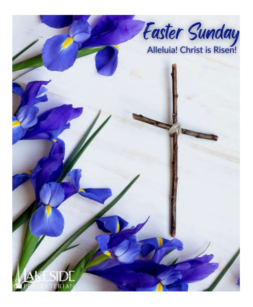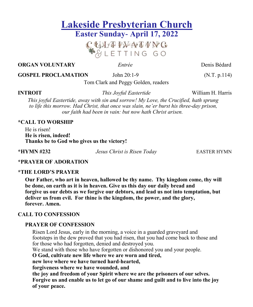# **Lakeside Presbyterian Church Easter Sunday- April 17, 2022**

CUITPINATING<br>ESLETTING GO

**ORGAN VOLUNTARY** *<i>Entrée* Denis Bédard **Denis Bédard** 

**GOSPEL PROCLAMATION** John 20:1-9 (N.T. p.114)

Tom Clark and Peggy Golden, readers

**INTROIT** *This Joyful Eastertide* William H. Harris

*This joyful Eastertide, away with sin and sorrow! My Love, the Crucified, hath sprung to life this morrow. Had Christ, that once was slain, ne'er burst his three-day prison, our faith had been in vain: but now hath Christ arisen.*

### **\*CALL TO WORSHIP**

He is risen! **He is risen, indeed! Thanks be to God who gives us the victory!**

**\*HYMN #232** *Jesus Christ is Risen Today* EASTER HYMN

### **\*PRAYER OF ADORATION**

### **\*THE LORD'S PRAYER**

**Our Father, who art in heaven, hallowed be thy name. Thy kingdom come, thy will be done, on earth as it is in heaven. Give us this day our daily bread and forgive us our debts as we forgive our debtors, and lead us not into temptation, but deliver us from evil. For thine is the kingdom, the power, and the glory, forever. Amen.**

### **CALL TO CONFESSION**

### **PRAYER OF CONFESSION**

Risen Lord Jesus, early in the morning, a voice in a guarded graveyard and footsteps in the dew proved that you had risen, that you had come back to those and for those who had forgotten, denied and destroyed you.

We stand with those who have forgotten or dishonored you and your people.

**O God, cultivate new life where we are worn and tired,** 

**new love where we have turned hard-hearted,** 

**forgiveness where we have wounded, and** 

**the joy and freedom of your Spirit where we are the prisoners of our selves. Forgive us and enable us to let go of our shame and guilt and to live into the joy of your peace.**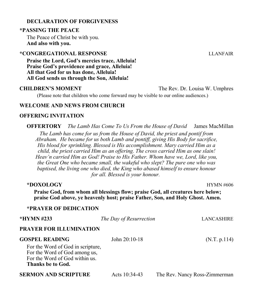### **DECLARATION OF FORGIVENESS**

### **\*PASSING THE PEACE**

The Peace of Christ be with you. **And also with you.**

### **\*CONGREGATIONAL RESPONSE** LLANFAIR

**Praise the Lord, God's mercies trace, Alleluia! Praise God's providence and grace, Alleluia! All that God for us has done, Alleluia! All God sends us through the Son, Alleluia!**

**CHILDREN'S MOMENT** The Rev. Dr. Louisa W. Umphres

(Please note that children who come forward may be visible to our online audiences.)

### **WELCOME AND NEWS FROM CHURCH**

### **OFFERING INVITATION**

**OFFERTORY** *The Lamb Has Come To Us From the House of David* James MacMillan

*The Lamb has come for us from the House of David, the priest and pontif from Abraham. He became for us both Lamb and pontiff, giving His Body for sacrifice, His blood for sprinkling. Blessed is His accomplishment. Mary carried Him as a child, the priest carried Him as an offering. The cross carried Him as one slain! Heav'n carried Him as God! Praise to His Father. Whom have we, Lord, like you, the Great One who became small, the wakeful who slept? The pure one who was baptised, the living one who died, the King who abased himself to ensure honour for all. Blessed is your honour.*

| *DOXOLOGY<br><b>HYMN #606</b><br>Praise God, from whom all blessings flow; praise God, all creatures here below;<br>praise God above, ye heavenly host; praise Father, Son, and Holy Ghost. Amen. |                         |                               |  |  |
|---------------------------------------------------------------------------------------------------------------------------------------------------------------------------------------------------|-------------------------|-------------------------------|--|--|
| *PRAYER OF DEDICATION                                                                                                                                                                             |                         |                               |  |  |
| *HYMN #233                                                                                                                                                                                        | The Day of Resurrection | <b>LANCASHIRE</b>             |  |  |
| PRAYER FOR ILLUMINATION                                                                                                                                                                           |                         |                               |  |  |
| <b>GOSPEL READING</b><br>For the Word of God in scripture,<br>For the Word of God among us,<br>For the Word of God within us.<br>Thanks be to God.                                                | John $20:10-18$         | (N.T. p.114)                  |  |  |
| SERMON AND SCRIPTURE                                                                                                                                                                              | Acts 10:34-43           | The Rev. Nancy Ross-Zimmerman |  |  |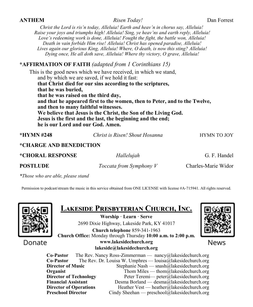### **ANTHEM** *Risen Today!* Dan Forrest

*Christ the Lord is ris'n today, Alleluia! Earth and heav'n in chorus say, Alleluia! Raise your joys and triumphs high! Alleluia! Sing, ye heav'ns and earth reply, Alleluia! Love's redeeming work is done, Alleluia! Fought the fight, the battle won, Alleluia! Death in vain forbids Him rise! Alleluia! Christ has opened paradise, Alleluia! Lives again our glorious King, Alleluia! Where, O death, is now this sting? Alleluia! Dying once, He all doth save, Alleluia! Where thy victory, O grave, Alleluia!*

### **\*AFFIRMATION OF FAITH** *(adapted from 1 Corinthians 15)*

This is the good news which we have received, in which we stand, and by which we are saved, if we hold it fast: **that Christ died for our sins according to the scriptures, that he was buried, that he was raised on the third day, and that he appeared first to the women, then to Peter, and to the Twelve, and then to many faithful witnesses. We believe that Jesus is the Christ, the Son of the Living God. Jesus is the first and the last, the beginning and the end; he is our Lord and our God. Amen.**

| *HYMN #248                     | Christ is Risen! Shout Hosanna | <b>HYMN TO JOY</b>  |
|--------------------------------|--------------------------------|---------------------|
| *CHARGE AND BENEDICTION        |                                |                     |
| <i><b>*CHORAL RESPONSE</b></i> | Hallelujah                     | G. F. Handel        |
| <b>POSTLUDE</b>                | <i>Toccata from Symphony V</i> | Charles-Marie Widor |
|                                |                                |                     |

*\*Those who are able, please stand*

Permission to podcast/stream the music in this service obtained from ONE LICENSE with license #A-715941. All rights reserved.



Donate

## **Lakeside Presbyterian Church, Inc.**

**Worship · Learn · Serve** 2690 Dixie Highway, Lakeside Park, KY 41017 **Church telephone** 859-341-1963 **Church Office:** Monday through Thursday **10:00 a.m. to 2:00 p.m. www.lakesidechurch.org** 



News

### **lakeside@lakesidechurch.org**

**Co-Pastor** The Rev. Nancy Ross-Zimmerman — nancy@lakesidechurch.org **Co-Pastor** The Rev. Dr. Louisa W. Umphres — louisa@lakesidechurch.org **Director of Music** Stephanie Nash — snash@lakesidechurch.org **Organist** Thom Miles — thom all also the thomages of the thomage of the thomage of the thomage of the thomage of the thomage of the thomage of the thomage of the thomage of the thomage of the thomage of the thomage of the **Director of Technology** Peter Teremi— peter@lakesidechurch.org **Financial Assistant** Desma Borland — desma@lakesidechurch.org<br>Director of Operations Heather Vest — heather@lakesidechurch.org **Director of Operations** Heather Vest — heather@lakesidechurch.org<br> **Preschool Director** Cindy Sheehan — preschool@lakesidechurch.org Cindy Sheehan — preschool@lakesidechurch.org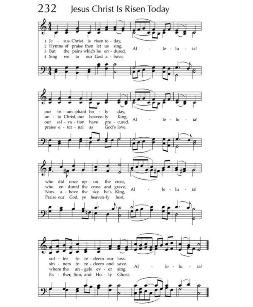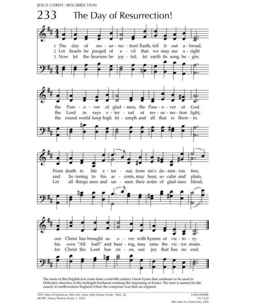**IESUS CHRIST: RESURRECTION** 



The roots of this English text come from a mid-8th century Greek hymn that continues to be used in Orthodox churches at the midnight Eucharist marking the beginning of Easter. The tune is named for the county in northwestern England where the composer was then an organist.